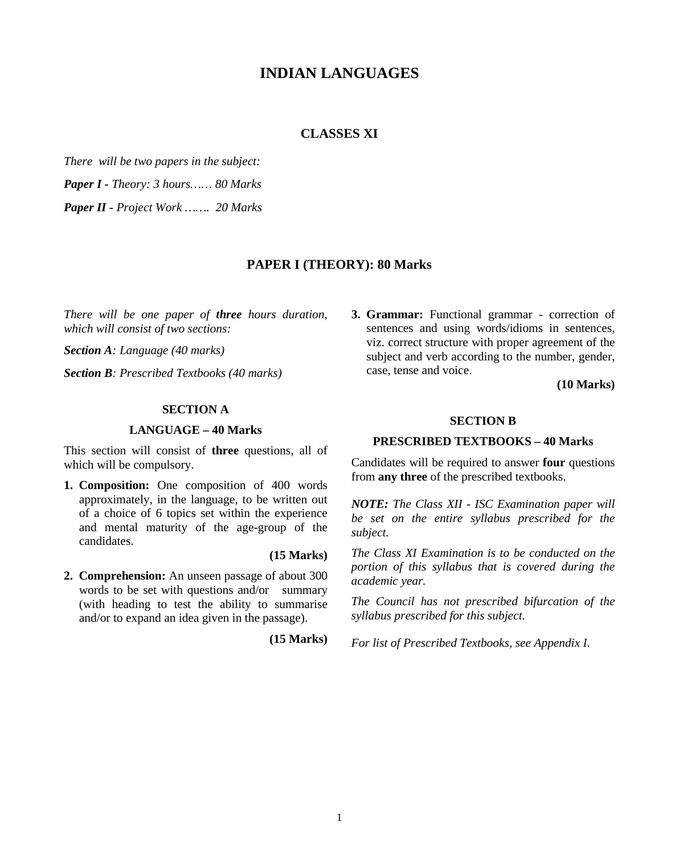# **INDIAN LANGUAGES**

## **CLASSES XI**

*There will be two papers in the subject:*

*Paper I - Theory: 3 hours…… 80 Marks* 

*Paper II - Project Work ……. 20 Marks*

### **PAPER I (THEORY): 80 Marks**

*There will be one paper of three hours duration, which will consist of two sections:*

*Section A: Language (40 marks)*

*Section B: Prescribed Textbooks (40 marks)*

### **SECTION A**

#### **LANGUAGE – 40 Marks**

This section will consist of **three** questions, all of which will be compulsory.

- **1. Composition:** One composition of 400 words approximately, in the language, to be written out of a choice of 6 topics set within the experience and mental maturity of the age-group of the candidates.
- **2. Comprehension:** An unseen passage of about 300 words to be set with questions and/or summary (with heading to test the ability to summarise and/or to expand an idea given in the passage).

 **(15 Marks)**

**(15 Marks)**

**3. Grammar:** Functional grammar - correction of sentences and using words/idioms in sentences, viz. correct structure with proper agreement of the subject and verb according to the number, gender, case, tense and voice.

**(10 Marks)**

#### **SECTION B**

#### **PRESCRIBED TEXTBOOKS – 40 Marks**

Candidates will be required to answer **four** questions from **any three** of the prescribed textbooks.

*NOTE: The Class XII - ISC Examination paper will be set on the entire syllabus prescribed for the subject.*

*The Class XI Examination is to be conducted on the portion of this syllabus that is covered during the academic year.* 

*The Council has not prescribed bifurcation of the syllabus prescribed for this subject.*

*For list of Prescribed Textbooks, see Appendix I.*